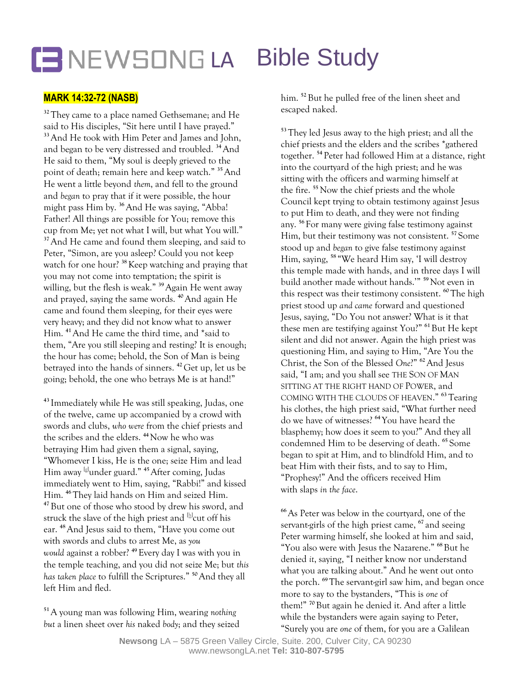## LENEWSONG LA **Bible Study**

## **MARK 14:32-72 (NASB)**

<sup>32</sup> They came to a place named Gethsemane; and He said to His disciples, "Sit here until I have prayed." **<sup>33</sup>**And He took with Him Peter and James and John, and began to be very distressed and troubled. **<sup>34</sup>**And He said to them, "My soul is deeply grieved to the point of death; remain here and keep watch." **<sup>35</sup>**And He went a little beyond *them*, and fell to the ground and *began* to pray that if it were possible, the hour might pass Him by. **<sup>36</sup>**And He was saying, "Abba! Father! All things are possible for You; remove this cup from Me; yet not what I will, but what You will." **<sup>37</sup>**And He came and found them sleeping, and said to Peter, "Simon, are you asleep? Could you not keep watch for one hour? **<sup>38</sup>**Keep watching and praying that you may not come into temptation; the spirit is willing, but the flesh is weak." **<sup>39</sup>**Again He went away and prayed, saying the same words. **<sup>40</sup>**And again He came and found them sleeping, for their eyes were very heavy; and they did not know what to answer Him. **<sup>41</sup>**And He came the third time, and \*said to them, "Are you still sleeping and resting? It is enough; the hour has come; behold, the Son of Man is being betrayed into the hands of sinners. **<sup>42</sup>** Get up, let us be going; behold, the one who betrays Me is at hand!"

**<sup>43</sup>** Immediately while He was still speaking, Judas, one of the twelve, came up accompanied by a crowd with swords and clubs, *who were* from the chief priests and the scribes and the elders. **<sup>44</sup>**Now he who was betraying Him had given them a signal, saying, "Whomever I kiss, He is the one; seize Him and lead Him away [\[g\]](https://www.biblegateway.com/passage/?search=Mark+14%3A32-72&version=NASB1995#fen-NASB1995-24799g) under guard." **<sup>45</sup>**After coming, Judas immediately went to Him, saying, "Rabbi!" and kissed Him. **<sup>46</sup>** They laid hands on Him and seized Him. **<sup>47</sup>** But one of those who stood by drew his sword, and struck the slave of the high priest and  $^{\text{\tiny{[h]}}}$  $^{\text{\tiny{[h]}}}$  $^{\text{\tiny{[h]}}}$ cut off his ear. **<sup>48</sup>**And Jesus said to them, "Have you come out with swords and clubs to arrest Me, as *you would* against a robber? **<sup>49</sup>**Every day I was with you in the temple teaching, and you did not seize Me; but *this has taken place* to fulfill the Scriptures." **<sup>50</sup>**And they all left Him and fled.

**<sup>51</sup>**A young man was following Him, wearing *nothing but* a linen sheet over *his* naked *body*; and they seized

him. **<sup>52</sup>** But he pulled free of the linen sheet and escaped naked.

**<sup>53</sup>** They led Jesus away to the high priest; and all the chief priests and the elders and the scribes \*gathered together. **<sup>54</sup>** Peter had followed Him at a distance, right into the courtyard of the high priest; and he was sitting with the officers and warming himself at the fire. **<sup>55</sup>** Now the chief priests and the whole Council kept trying to obtain testimony against Jesus to put Him to death, and they were not finding any. **<sup>56</sup>** For many were giving false testimony against Him, but their testimony was not consistent. **<sup>57</sup>** Some stood up and *began* to give false testimony against Him, saying, **<sup>58</sup>** "We heard Him say, 'I will destroy this temple made with hands, and in three days I will build another made without hands.'" **<sup>59</sup>**Not even in this respect was their testimony consistent. **<sup>60</sup>** The high priest stood up *and came* forward and questioned Jesus, saying, "Do You not answer? What is it that these men are testifying against You?" **<sup>61</sup>**But He kept silent and did not answer. Again the high priest was questioning Him, and saying to Him, "Are You the Christ, the Son of the Blessed *One*?" **<sup>62</sup>**And Jesus said, "I am; and you shall see THE SON OF MAN SITTING AT THE RIGHT HAND OF POWER, and COMING WITH THE CLOUDS OF HEAVEN." **<sup>63</sup>** Tearing his clothes, the high priest said, "What further need do we have of witnesses? **<sup>64</sup>**You have heard the blasphemy; how does it seem to you?" And they all condemned Him to be deserving of death. **<sup>65</sup>** Some began to spit at Him, and to blindfold Him, and to beat Him with their fists, and to say to Him, "Prophesy!" And the officers received Him with slaps *in the face*.

**<sup>66</sup>**As Peter was below in the courtyard, one of the servant-girls of the high priest came, **<sup>67</sup>** and seeing Peter warming himself, she looked at him and said, "You also were with Jesus the Nazarene." **<sup>68</sup>**But he denied *it*, saying, "I neither know nor understand what you are talking about." And he went out onto the porch. **<sup>69</sup>**The servant-girl saw him, and began once more to say to the bystanders, "This is *one* of them!" **<sup>70</sup>**But again he denied it. And after a little while the bystanders were again saying to Peter, "Surely you are *one* of them, for you are a Galilean